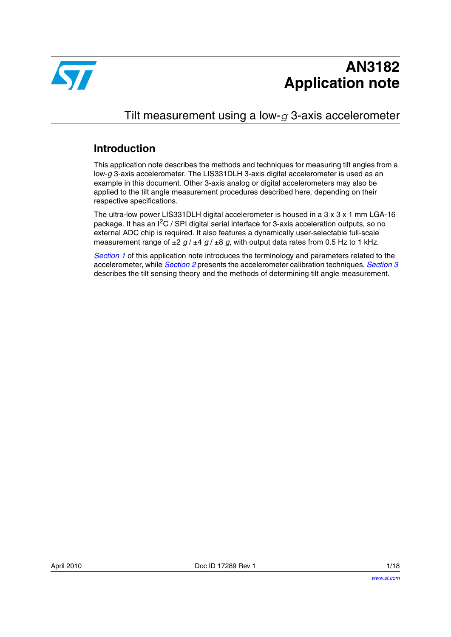

## Tilt measurement using a low-*g* 3-axis accelerometer

## **Introduction**

This application note describes the methods and techniques for measuring tilt angles from a low-*g* 3-axis accelerometer. The LIS331DLH 3-axis digital accelerometer is used as an example in this document. Other 3-axis analog or digital accelerometers may also be applied to the tilt angle measurement procedures described here, depending on their respective specifications.

The ultra-low power LIS331DLH digital accelerometer is housed in a 3 x 3 x 1 mm LGA-16 package. It has an I<sup>2</sup>C / SPI digital serial interface for 3-axis acceleration outputs, so no external ADC chip is required. It also features a dynamically user-selectable full-scale measurement range of  $\pm 2$  *g* /  $\pm 4$  *g* /  $\pm 8$  *g*, with output data rates from 0.5 Hz to 1 kHz.

*[Section 1](#page-3-0)* of this application note introduces the terminology and parameters related to the accelerometer, while *[Section 2](#page-8-0)* presents the accelerometer calibration techniques. *[Section 3](#page-9-0)* describes the tilt sensing theory and the methods of determining tilt angle measurement.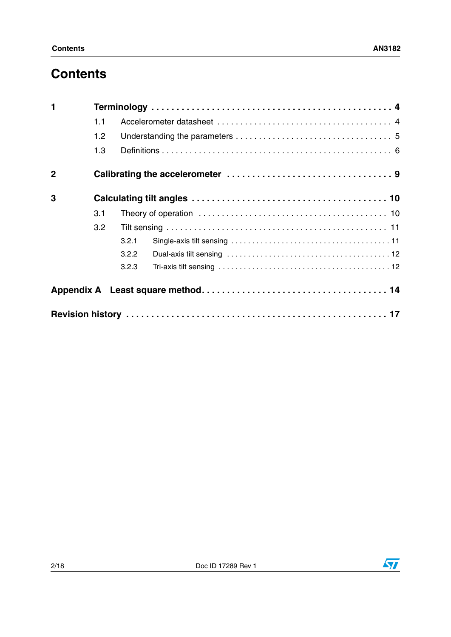# **Contents**

| $\blacksquare$ |     |       |  |  |  |  |
|----------------|-----|-------|--|--|--|--|
|                | 1.1 |       |  |  |  |  |
|                | 1.2 |       |  |  |  |  |
|                | 1.3 |       |  |  |  |  |
| $\overline{2}$ |     |       |  |  |  |  |
| 3              |     |       |  |  |  |  |
|                | 3.1 |       |  |  |  |  |
|                | 3.2 |       |  |  |  |  |
|                |     | 3.2.1 |  |  |  |  |
|                |     | 3.2.2 |  |  |  |  |
|                |     | 3.2.3 |  |  |  |  |
|                |     |       |  |  |  |  |
|                |     |       |  |  |  |  |

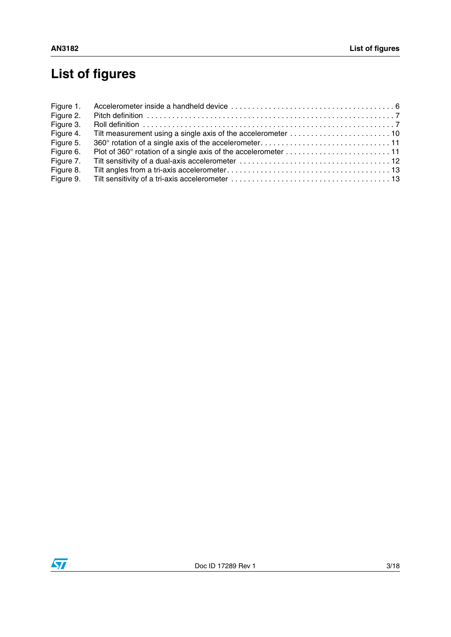# **List of figures**

| Figure 1. |  |
|-----------|--|
| Figure 2. |  |
| Figure 3. |  |
| Figure 4. |  |
| Figure 5. |  |
| Figure 6. |  |
| Figure 7. |  |
| Figure 8. |  |
| Figure 9. |  |

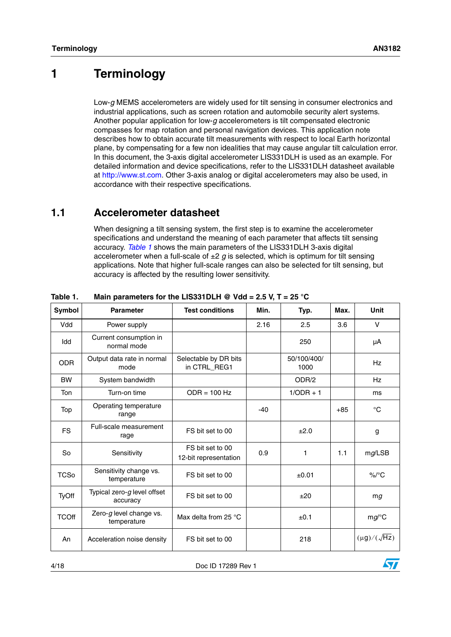## <span id="page-3-0"></span>**1 Terminology**

Low-*g* MEMS accelerometers are widely used for tilt sensing in consumer electronics and industrial applications, such as screen rotation and automobile security alert systems. Another popular application for low-*g* accelerometers is tilt compensated electronic compasses for map rotation and personal navigation devices. This application note describes how to obtain accurate tilt measurements with respect to local Earth horizontal plane, by compensating for a few non idealities that may cause angular tilt calculation error. In this document, the 3-axis digital accelerometer LIS331DLH is used as an example. For detailed information and device specifications, refer to the LIS331DLH datasheet available at http://www.st.com. Other 3-axis analog or digital accelerometers may also be used, in accordance with their respective specifications.

## <span id="page-3-1"></span>**1.1 Accelerometer datasheet**

When designing a tilt sensing system, the first step is to examine the accelerometer specifications and understand the meaning of each parameter that affects tilt sensing accuracy. *[Table 1](#page-3-2)* shows the main parameters of the LIS331DLH 3-axis digital accelerometer when a full-scale of  $\pm 2$  *g* is selected, which is optimum for tilt sensing applications. Note that higher full-scale ranges can also be selected for tilt sensing, but accuracy is affected by the resulting lower sensitivity.

| <b>Symbol</b> | <b>Parameter</b>                        | <b>Test conditions</b>                    | Min.  | Typ.                | Max.  | <b>Unit</b>           |
|---------------|-----------------------------------------|-------------------------------------------|-------|---------------------|-------|-----------------------|
| Vdd           | Power supply                            |                                           | 2.16  | 2.5                 | 3.6   | $\vee$                |
| Idd           | Current consumption in<br>normal mode   |                                           |       | 250                 |       | μA                    |
| <b>ODR</b>    | Output data rate in normal<br>mode      | Selectable by DR bits<br>in CTRL_REG1     |       | 50/100/400/<br>1000 |       | Hz                    |
| <b>BW</b>     | System bandwidth                        |                                           |       | ODR/2               |       | Hz                    |
| <b>Ton</b>    | Turn-on time                            | $ODR = 100 Hz$                            |       | $1/ODR + 1$         |       | ms                    |
| Top           | Operating temperature<br>range          |                                           | $-40$ |                     | $+85$ | $^{\circ}C$           |
| <b>FS</b>     | Full-scale measurement<br>rage          | FS bit set to 00                          |       | ±2.0                |       | g                     |
| <b>So</b>     | Sensitivity                             | FS bit set to 00<br>12-bit representation | 0.9   | 1                   | 1.1   | mg/LSB                |
| <b>TCSo</b>   | Sensitivity change vs.<br>temperature   | FS bit set to 00                          |       | ±0.01               |       | $\%$ /°C              |
| TyOff         | Typical zero-g level offset<br>accuracy | FS bit set to 00                          |       | ±20                 |       | mg                    |
| <b>TCOff</b>  | Zero-g level change vs.<br>temperature  | Max delta from 25 $\degree$ C             |       | ±0.1                |       | $mg$ /°C              |
| An            | Acceleration noise density              | FS bit set to 00                          |       | 218                 |       | $(\mu g)/(\sqrt{Hz})$ |

## <span id="page-3-2"></span>**Table 1. Main parameters for the LIS331DLH @ Vdd = 2.5 V, T = 25 °C**

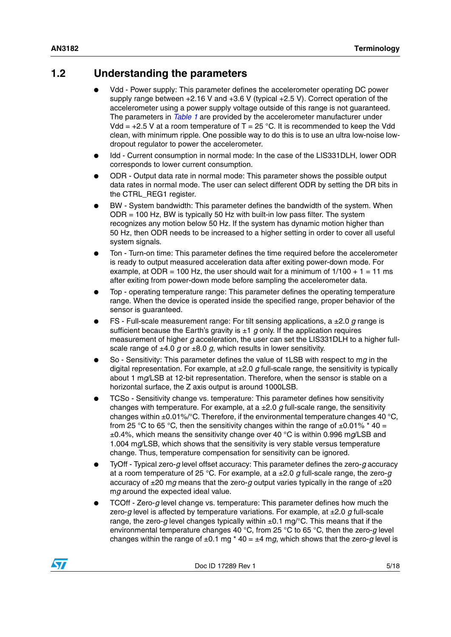## <span id="page-4-0"></span>**1.2 Understanding the parameters**

- Vdd Power supply: This parameter defines the accelerometer operating DC power supply range between +2.16 V and +3.6 V (typical +2.5 V). Correct operation of the accelerometer using a power supply voltage outside of this range is not guaranteed. The parameters in *[Table 1](#page-3-2)* are provided by the accelerometer manufacturer under Vdd =  $+2.5$  V at a room temperature of T = 25 °C. It is recommended to keep the Vdd clean, with minimum ripple. One possible way to do this is to use an ultra low-noise lowdropout regulator to power the accelerometer.
- Idd Current consumption in normal mode: In the case of the LIS331DLH, lower ODR corresponds to lower current consumption.
- ODR Output data rate in normal mode: This parameter shows the possible output data rates in normal mode. The user can select different ODR by setting the DR bits in the CTRL\_REG1 register.
- BW System bandwidth: This parameter defines the bandwidth of the system. When ODR = 100 Hz, BW is typically 50 Hz with built-in low pass filter. The system recognizes any motion below 50 Hz. If the system has dynamic motion higher than 50 Hz, then ODR needs to be increased to a higher setting in order to cover all useful system signals.
- Ton Turn-on time: This parameter defines the time required before the accelerometer is ready to output measured acceleration data after exiting power-down mode. For example, at ODR = 100 Hz, the user should wait for a minimum of  $1/100 + 1 = 11$  ms after exiting from power-down mode before sampling the accelerometer data.
- Top operating temperature range: This parameter defines the operating temperature range. When the device is operated inside the specified range, proper behavior of the sensor is guaranteed.
- FS Full-scale measurement range: For tilt sensing applications, a ±2.0 *g* range is sufficient because the Earth's gravity is  $\pm 1$  g only. If the application requires measurement of higher *g* acceleration, the user can set the LIS331DLH to a higher fullscale range of  $\pm 4.0$  g or  $\pm 8.0$  g, which results in lower sensitivity.
- So Sensitivity: This parameter defines the value of 1LSB with respect to mg in the digital representation. For example, at ±2.0 *g* full-scale range, the sensitivity is typically about 1 m*g*/LSB at 12-bit representation. Therefore, when the sensor is stable on a horizontal surface, the Z axis output is around 1000LSB.
- TCSo Sensitivity change vs. temperature: This parameter defines how sensitivity changes with temperature. For example, at a  $\pm$ 2.0 *g* full-scale range, the sensitivity changes within  $\pm 0.01\%$  °C. Therefore, if the environmental temperature changes 40 °C, from 25 °C to 65 °C, then the sensitivity changes within the range of  $\pm 0.01\%$  \* 40 = ±0.4%, which means the sensitivity change over 40 °C is within 0.996 m*g*/LSB and 1.004 m*g*/LSB, which shows that the sensitivity is very stable versus temperature change. Thus, temperature compensation for sensitivity can be ignored.
- TyOff Typical zero-*g* level offset accuracy: This parameter defines the zero-*g* accuracy at a room temperature of 25 °C. For example, at a ±2.0 *g* full-scale range, the zero-*g* accuracy of  $\pm 20$  mg means that the zero-g output varies typically in the range of  $\pm 20$ m*g* around the expected ideal value.
- TCOff Zero-*q* level change vs. temperature: This parameter defines how much the zero-*g* level is affected by temperature variations. For example, at ±2.0 *g* full-scale range, the zero-*g* level changes typically within ±0.1 mg/°C. This means that if the environmental temperature changes 40 °C, from 25 °C to 65 °C, then the zero-*g* level changes within the range of  $\pm 0.1$  mg  $*$  40 =  $\pm 4$  mg, which shows that the zero-g level is

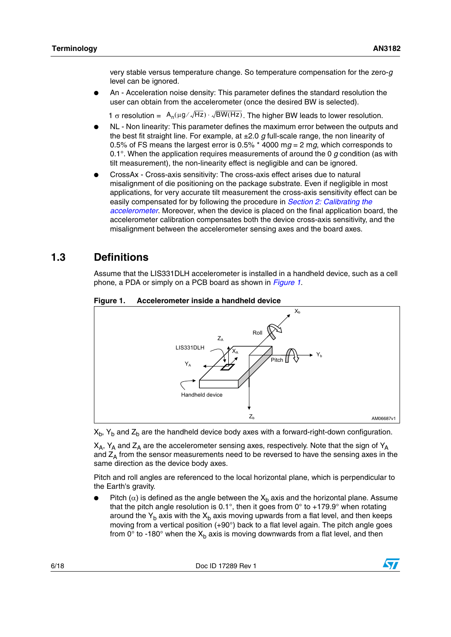very stable versus temperature change. So temperature compensation for the zero-*g* level can be ignored.

An - Acceleration noise density: This parameter defines the standard resolution the user can obtain from the accelerometer (once the desired BW is selected).

1 σ resolution =  $A_n(\mu g/\sqrt{Hz}) \cdot \sqrt{BW(Hz)}$ . The higher BW leads to lower resolution.

- NL Non linearity: This parameter defines the maximum error between the outputs and the best fit straight line. For example, at ±2.0 *g* full-scale range, the non linearity of 0.5% of FS means the largest error is 0.5%  $*$  4000 mg = 2 mg, which corresponds to 0.1°. When the application requires measurements of around the 0 *g* condition (as with tilt measurement), the non-linearity effect is negligible and can be ignored.
- CrossAx Cross-axis sensitivity: The cross-axis effect arises due to natural misalignment of die positioning on the package substrate. Even if negligible in most applications, for very accurate tilt measurement the cross-axis sensitivity effect can be easily compensated for by following the procedure in *[Section 2: Calibrating the](#page-8-0)  [accelerometer](#page-8-0)*. Moreover, when the device is placed on the final application board, the accelerometer calibration compensates both the device cross-axis sensitivity, and the misalignment between the accelerometer sensing axes and the board axes.

## <span id="page-5-0"></span>**1.3 Definitions**

Assume that the LIS331DLH accelerometer is installed in a handheld device, such as a cell phone, a PDA or simply on a PCB board as shown in *[Figure 1](#page-5-1)*.



### <span id="page-5-1"></span>**Figure 1. Accelerometer inside a handheld device**

 $X_h$ ,  $Y_h$  and  $Z_h$  are the handheld device body axes with a forward-right-down configuration.

 $X_A$ ,  $Y_A$  and  $Z_A$  are the accelerometer sensing axes, respectively. Note that the sign of  $Y_A$ and  $Z_A$  from the sensor measurements need to be reversed to have the sensing axes in the same direction as the device body axes.

Pitch and roll angles are referenced to the local horizontal plane, which is perpendicular to the Earth's gravity.

Pitch ( $\alpha$ ) is defined as the angle between the X<sub>b</sub> axis and the horizontal plane. Assume that the pitch angle resolution is 0.1°, then it goes from  $0^\circ$  to +179.9° when rotating around the  $Y_b$  axis with the  $X_b$  axis moving upwards from a flat level, and then keeps moving from a vertical position (+90°) back to a flat level again. The pitch angle goes from  $0^\circ$  to -180° when the  $X_h$  axis is moving downwards from a flat level, and then

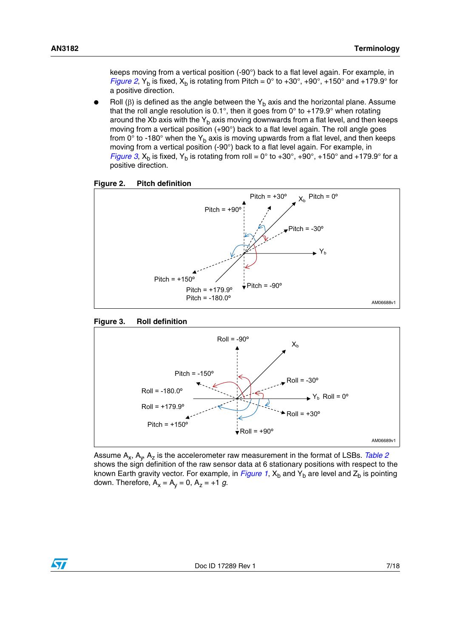keeps moving from a vertical position (-90°) back to a flat level again. For example, in *[Figure 2](#page-6-0),* Y<sub>b</sub> is fixed, X<sub>b</sub> is rotating from Pitch = 0° to +30°, +90°, +150° and +179.9° for a positive direction.

Roll (β) is defined as the angle between the Y<sub>b</sub> axis and the horizontal plane. Assume that the roll angle resolution is 0.1°, then it goes from  $0^\circ$  to +179.9° when rotating around the Xb axis with the  $Y<sub>b</sub>$  axis moving downwards from a flat level, and then keeps moving from a vertical position (+90°) back to a flat level again. The roll angle goes from 0 $\degree$  to -180 $\degree$  when the Y<sub>b</sub> axis is moving upwards from a flat level, and then keeps moving from a vertical position (-90°) back to a flat level again. For example, in *[Figure 3](#page-6-1)*,  $X_b$  is fixed,  $Y_b$  is rotating from roll = 0° to +30°, +90°, +150° and +179.9° for a positive direction.

<span id="page-6-0"></span>



<span id="page-6-1"></span>



Assume  $A_x$ ,  $A_y$ ,  $A_z$  is the accelerometer raw measurement in the format of LSBs. *[Table 2](#page-7-0)* shows the sign definition of the raw sensor data at 6 stationary positions with respect to the known Earth gravity vector. For example, in *[Figure 1](#page-5-1)*,  $X_b$  and  $Y_b$  are level and  $Z_b$  is pointing down. Therefore,  $A_x = A_y = 0$ ,  $A_z = +1$  g.

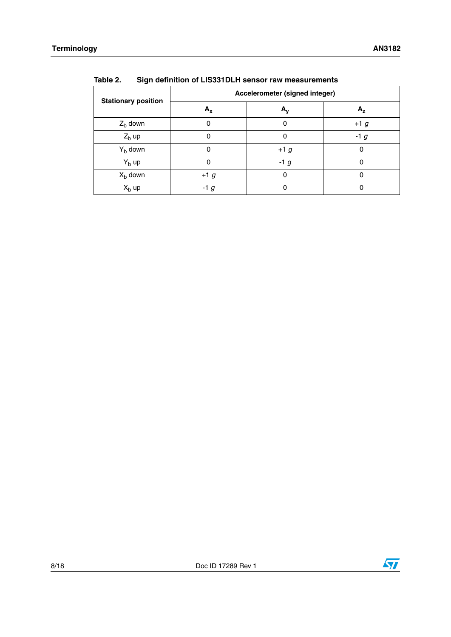|                            | Accelerometer (signed integer) |                  |        |  |  |
|----------------------------|--------------------------------|------------------|--------|--|--|
| <b>Stationary position</b> | $A_x$                          | $A_{\mathsf{v}}$ | Α,     |  |  |
| $Z_{b}$ down               |                                | 0                | $+1$ g |  |  |
| $Zb$ up                    |                                | 0                | $-1g$  |  |  |
| $Yb$ down                  |                                | $+1g$            | 0      |  |  |
| $Yb$ up                    |                                | $-1g$            |        |  |  |
| $Xb$ down                  | $+1$ g                         | 0                | 0      |  |  |
| $Xb$ up                    | $-1g$                          | 0                |        |  |  |

<span id="page-7-0"></span>**Table 2. Sign definition of LIS331DLH sensor raw measurements**

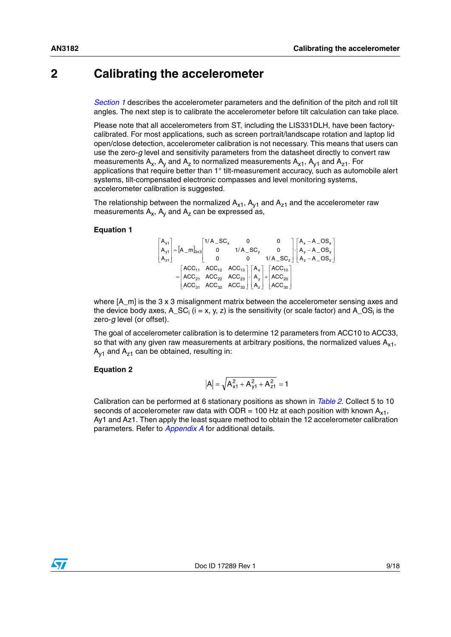## <span id="page-8-0"></span>**2 Calibrating the accelerometer**

*[Section 1](#page-3-0)* describes the accelerometer parameters and the definition of the pitch and roll tilt angles. The next step is to calibrate the accelerometer before tilt calculation can take place.

Please note that all accelerometers from ST, including the LIS331DLH, have been factorycalibrated. For most applications, such as screen portrait/landscape rotation and laptop lid open/close detection, accelerometer calibration is not necessary. This means that users can use the zero-*g* level and sensitivity parameters from the datasheet directly to convert raw measurements  $A_x$ ,  $A_y$  and  $A_z$  to normalized measurements  $A_{x1}$ ,  $A_{y1}$  and  $A_{z1}$ . For applications that require better than 1° tilt-measurement accuracy, such as automobile alert systems, tilt-compensated electronic compasses and level monitoring systems, accelerometer calibration is suggested.

The relationship between the normalized  $A_{x1}$ ,  $A_{y1}$  and  $A_{z1}$  and the accelerometer raw measurements  $A_x$ ,  $A_y$  and  $A_z$  can be expressed as,

### <span id="page-8-1"></span>**Equation 1**

$$
\begin{bmatrix} A_{x1} \\ A_{y1} \\ A_{z1} \end{bmatrix} = \begin{bmatrix} A_{-}m_{3x3} \end{bmatrix} \begin{bmatrix} 1/A_{-}SC_{x} & 0 & 0 \\ 0 & 1/A_{-}SC_{y} & 0 \\ 0 & 0 & 1/A_{-}SC_{z} \end{bmatrix} \begin{bmatrix} A_{x} - A_{-}OS_{x} \\ A_{y} - A_{-}OS_{y} \\ A_{z} - A_{-}OS_{z} \end{bmatrix}
$$

$$
= \begin{bmatrix} ACC_{11} & ACC_{12} & ACC_{13} \\ ACC_{21} & ACC_{22} & ACC_{23} \\ ACC_{31} & ACC_{32} & ACC_{33} \end{bmatrix} \begin{bmatrix} A_{x} \\ A_{y} \\ A_{z} \end{bmatrix} + \begin{bmatrix} ACC_{10} \\ ACC_{20} \\ ACC_{30} \end{bmatrix}
$$

where  $[A_m]$  is the 3 x 3 misalignment matrix between the accelerometer sensing axes and the device body axes, A\_SC<sub>i</sub> (i = x, y, z) is the sensitivity (or scale factor) and A\_OS<sub>i</sub> is the zero-*g* level (or offset).

The goal of accelerometer calibration is to determine 12 parameters from ACC10 to ACC33, so that with any given raw measurements at arbitrary positions, the normalized values  $A_{x1}$ ,  $A_{v1}$  and  $A_{z1}$  can be obtained, resulting in:

### **Equation 2**

$$
\left|A\right|=\sqrt{A_{x1}^2+A_{y1}^2+A_{z1}^2}=1
$$

Calibration can be performed at 6 stationary positions as shown in *[Table 2](#page-7-0)*. Collect 5 to 10 seconds of accelerometer raw data with ODR = 100 Hz at each position with known  $A_{x1}$ , Ay1 and Az1. Then apply the least square method to obtain the 12 accelerometer calibration parameters. Refer to *[Appendix A](#page-13-0)* for additional details.

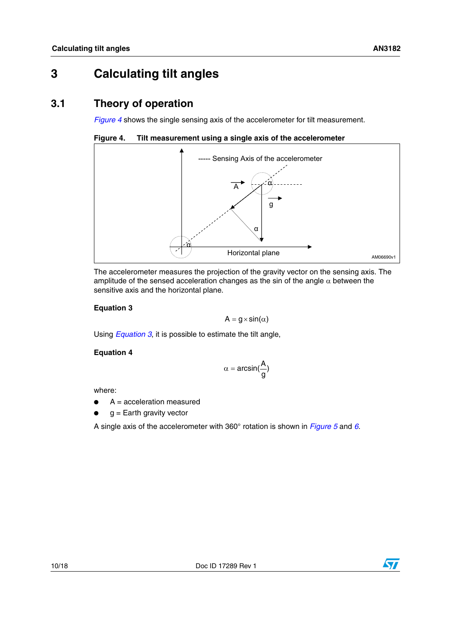## <span id="page-9-0"></span>**3 Calculating tilt angles**

## <span id="page-9-1"></span>**3.1 Theory of operation**

*[Figure 4](#page-9-2)* shows the single sensing axis of the accelerometer for tilt measurement.

<span id="page-9-2"></span>**Figure 4. Tilt measurement using a single axis of the accelerometer**



The accelerometer measures the projection of the gravity vector on the sensing axis. The amplitude of the sensed acceleration changes as the sin of the angle  $\alpha$  between the sensitive axis and the horizontal plane.

## <span id="page-9-3"></span>**Equation 3**

 $A = g \times \sin(\alpha)$ 

Using *[Equation 3](#page-9-3)*, it is possible to estimate the tilt angle,

## **Equation 4**

$$
\alpha = \text{arcsin}(\frac{A}{g})
$$

where:

- $\bullet$  A = acceleration measured
- $g =$  Earth gravity vector

A single axis of the accelerometer with 360° rotation is shown in *[Figure 5](#page-10-2)* and *[6](#page-10-3)*.

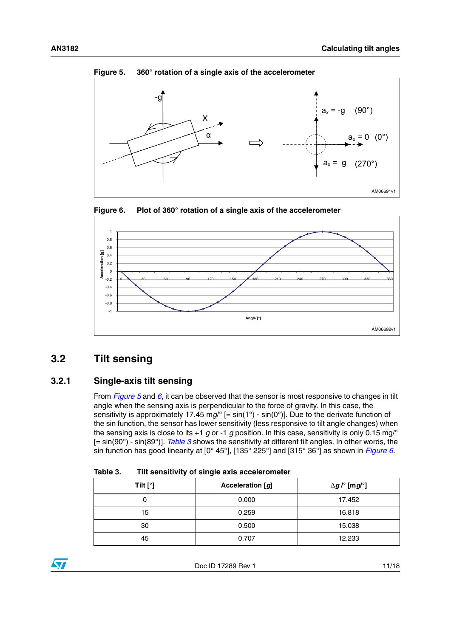

<span id="page-10-2"></span>

<span id="page-10-3"></span>



## <span id="page-10-0"></span>**3.2 Tilt sensing**

## <span id="page-10-1"></span>**3.2.1 Single-axis tilt sensing**

From *[Figure 5](#page-10-2)* and *[6](#page-10-3)*, it can be observed that the sensor is most responsive to changes in tilt angle when the sensing axis is perpendicular to the force of gravity. In this case, the sensitivity is approximately 17.45 mg/° [= sin(1°) - sin(0°)]. Due to the derivate function of the sin function, the sensor has lower sensitivity (less responsive to tilt angle changes) when the sensing axis is close to its +1 *g* or -1 *g* position. In this case, sensitivity is only 0.15 mg/° [= sin(90°) - sin(89°)]. *[Table 3](#page-10-4)* shows the sensitivity at different tilt angles. In other words, the sin function has good linearity at [0° 45°], [135° 225°] and [315° 36°] as shown in *[Figure 6](#page-10-3)*.

<span id="page-10-4"></span>

| Table 3. | Tilt sensitivity of single axis accelerometer |
|----------|-----------------------------------------------|
|          |                                               |

| Tilt $[°]$ | Acceleration [g] | $\Delta$ <i>g</i> / $^{\circ}$ [m <i>g</i> / $^{\circ}$ ] |
|------------|------------------|-----------------------------------------------------------|
| 0          | 0.000            | 17.452                                                    |
| 15         | 0.259            | 16.818                                                    |
| 30         | 0.500            | 15.038                                                    |
| 45         | 0.707            | 12.233                                                    |

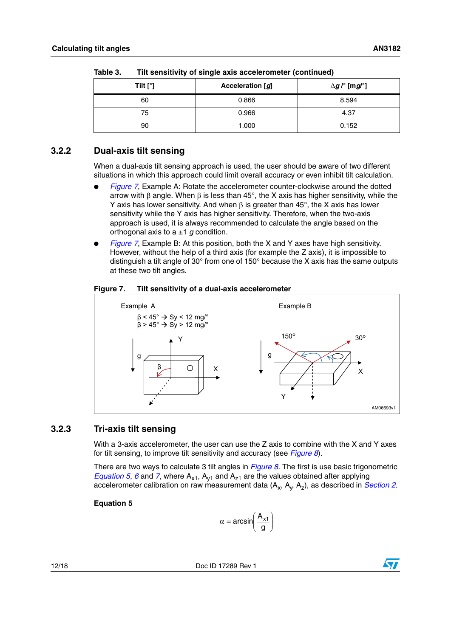| . |            |                  |                                                           |  |  |
|---|------------|------------------|-----------------------------------------------------------|--|--|
|   | Tilt $[°]$ | Acceleration [g] | $\Delta$ <i>g</i> / $^{\circ}$ [m <i>g</i> / $^{\circ}$ ] |  |  |
|   | 60         | 0.866            | 8.594                                                     |  |  |
|   | 75         | 0.966            | 4.37                                                      |  |  |
|   | 90         | 1.000            | 0.152                                                     |  |  |

**Table 3. Tilt sensitivity of single axis accelerometer (continued)**

## <span id="page-11-0"></span>**3.2.2 Dual-axis tilt sensing**

When a dual-axis tilt sensing approach is used, the user should be aware of two different situations in which this approach could limit overall accuracy or even inhibit tilt calculation.

- *[Figure 7](#page-11-2)*, Example A: Rotate the accelerometer counter-clockwise around the dotted arrow with β angle. When β is less than 45°, the X axis has higher sensitivity, while the Y axis has lower sensitivity. And when  $β$  is greater than 45°, the X axis has lower sensitivity while the Y axis has higher sensitivity. Therefore, when the two-axis approach is used, it is always recommended to calculate the angle based on the orthogonal axis to  $a \pm 1$  *g* condition.
- *[Figure 7](#page-11-2)*, Example B: At this position, both the X and Y axes have high sensitivity. However, without the help of a third axis (for example the Z axis), it is impossible to distinguish a tilt angle of 30° from one of 150° because the X axis has the same outputs at these two tilt angles.

<span id="page-11-2"></span>



## <span id="page-11-1"></span>**3.2.3 Tri-axis tilt sensing**

With a 3-axis accelerometer, the user can use the Z axis to combine with the X and Y axes for tilt sensing, to improve tilt sensitivity and accuracy (see *[Figure 8](#page-12-0)*).

There are two ways to calculate 3 tilt angles in *[Figure 8](#page-12-0)*. The first is use basic trigonometric *[Equation 5](#page-11-3), [6](#page-12-2)* and [7](#page-12-3), where  $A_{x1}$ ,  $A_{y1}$  and  $A_{z1}$  are the values obtained after applying accelerometer calibration on raw measurement data  $(A_x, A_y, A_z)$ , as described in *[Section 2](#page-8-0)*.

<span id="page-11-3"></span>**Equation 5**

$$
\alpha=\text{arcsin}\!\!\left(\frac{A_{x1}}{g}\right)
$$

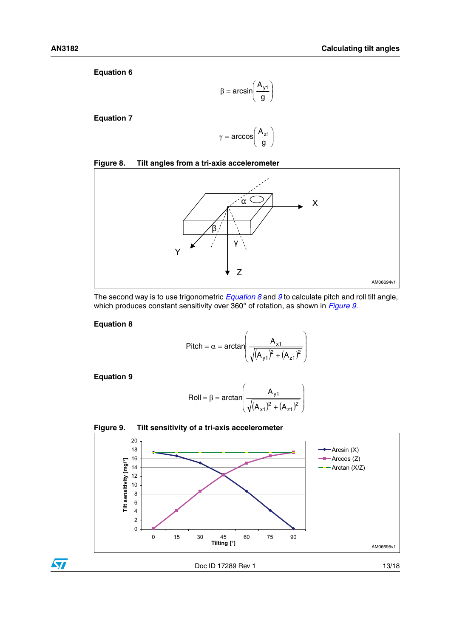<span id="page-12-2"></span>**Equation 6**

$$
\beta = \text{arcsin}\!\left(\frac{A_{y1}}{g}\right)
$$

<span id="page-12-3"></span>**Equation 7**

$$
\gamma = \arccos\left(\frac{A_{z1}}{g}\right)
$$

### <span id="page-12-0"></span>**Figure 8. Tilt angles from a tri-axis accelerometer**



The second way is to use trigonometric *[Equation 8](#page-12-4)* and *[9](#page-12-5)* to calculate pitch and roll tilt angle, which produces constant sensitivity over 360° of rotation, as shown in *[Figure 9](#page-12-1)*.

## <span id="page-12-4"></span>**Equation 8**

$$
\text{Pitch} = \alpha = \arctan\left(\frac{A_{x1}}{\sqrt{(A_{y1})^2 + (A_{z1})^2}}\right)
$$

<span id="page-12-5"></span>**Equation 9**

 $\bm{\varpi}$ 

$$
Roll = \beta = \arctan\left(\frac{A_{y1}}{\sqrt{(A_{x1})^2 + (A_{z1})^2}}\right)
$$

<span id="page-12-1"></span>

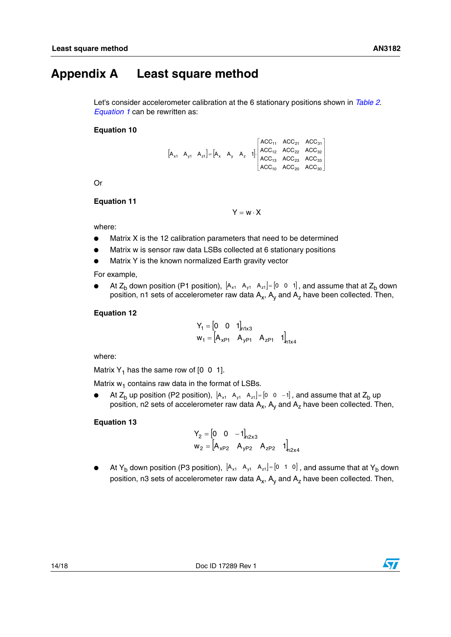## <span id="page-13-0"></span>**Appendix A Least square method**

Let's consider accelerometer calibration at the 6 stationary positions shown in *[Table 2](#page-7-0)*. *[Equation 1](#page-8-1)* can be rewritten as:

#### **Equation 10**

 $|A_{x1} \ A_{y1} \ A_{z1}| = |A_{x} \ A_{y} \ A_{z} 1|$  $\blacksquare$ ⎦ ⎤  $\blacksquare$ ⎣  $\overline{a}$  $=$   $|A_x \ A_y \ A_z \ 1|$  $_{10}$   $_{10}$   $_{10}$   $_{20}$   $_{10}$   $_{20}$  $13$   $13$   $23$   $100$   $33$  $12$   $12$   $100$   $22$   $100$   $32$  $11$   $100_{21}$   $100_{31}$ x1 ^y1 ^z1]  $\sqcap$ x ^y ^z  $\text{ACC}_{\text{10}}$   $\text{ACC}_{\text{20}}$   $\text{ACC}$  $\text{ACC}_{13}$   $\text{ACC}_{23}$   $\text{ACC}$  $\mathsf{ACC}_{12}$   $\mathsf{ACC}_{22}$   $\mathsf{ACC}$  $\mathsf{ACC}_{11}$   $\mathsf{ACC}_{21}$   $\mathsf{ACC}$  $A_{x1}$   $A_{y1}$   $A_{z1}$  | =  $|A_{x}$   $A_{y}$   $A_{z}$  1

Or

#### <span id="page-13-2"></span>**Equation 11**

 $Y = w \cdot X$ 

where:

- Matrix X is the 12 calibration parameters that need to be determined
- Matrix w is sensor raw data LSBs collected at 6 stationary positions
- Matrix Y is the known normalized Earth gravity vector

For example,

● At Z<sub>b</sub> down position (P1 position),  $[A_{x1} \ A_{y1} \ A_{z1}] = [0 \ 0 \ 1]$ , and assume that at Z<sub>b</sub> down position, n1 sets of accelerometer raw data  $A_x$ ,  $A_y$  and  $A_z$  have been collected. Then,

#### <span id="page-13-1"></span>**Equation 12**

$$
Y_1 = \begin{bmatrix} 0 & 0 & 1 \end{bmatrix}_{n1 \times 3}
$$
  

$$
W_1 = \begin{bmatrix} A_{xP1} & A_{yP1} & A_{zP1} & 1 \end{bmatrix}_{n1 \times 4}
$$

where:

Matrix  $Y_1$  has the same row of  $[0 \ 0 \ 1]$ .

Matrix  $w_1$  contains raw data in the format of LSBs.

● At Z<sub>b</sub> up position (P2 position),  $A_{x1}$   $A_{y1}$   $A_{z1}$  = [0  $\,$  0  $\,$  -1], and assume that at Z<sub>b</sub> up position, n2 sets of accelerometer raw data  $A_x$ ,  $A_y$  and  $A_z$  have been collected. Then,

#### **Equation 13**

$$
Y_2 = \begin{bmatrix} 0 & 0 & -1 \end{bmatrix}_{n2x3}
$$
  
 
$$
W_2 = \begin{bmatrix} A_{xP2} & A_{yP2} & A_{zP2} & 1 \end{bmatrix}_{n2x4}
$$

 $\bullet$  At Y<sub>b</sub> down position (P3 position),  $[A_{x1} \ A_{y1} \ A_{z1}] = [0 \ 1 \ 0]$  , and assume that at Y<sub>b</sub> down position, n3 sets of accelerometer raw data  $A_x$ ,  $A_y$  and  $A_z$  have been collected. Then,

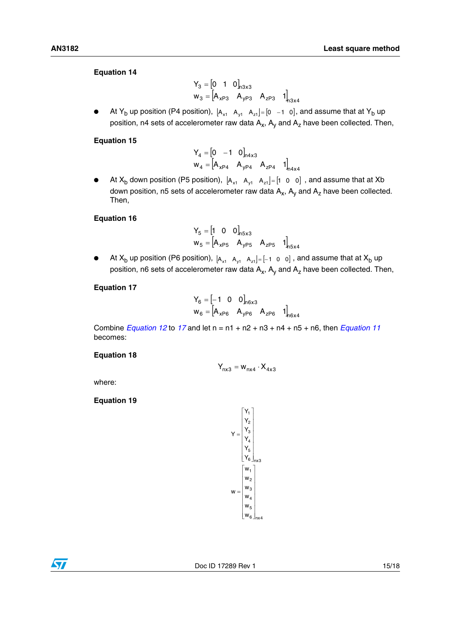## **Equation 14**

$$
Y_3 = \begin{bmatrix} 0 & 1 & 0 \end{bmatrix}_{n3x3}
$$
  

$$
W_3 = \begin{bmatrix} A_{xP3} & A_{yP3} & A_{zP3} & 1 \end{bmatrix}_{n3x4}
$$

● At Y<sub>b</sub> up position (P4 position),  $[A_{x1} \ A_{y1} \ A_{z1}] = [0 \ -1 \ 0]$ , and assume that at Y<sub>b</sub> up position, n4 sets of accelerometer raw data  $A_x$ ,  $A_y$  and  $A_z$  have been collected. Then,

## **Equation 15**

$$
Y_4 = \begin{bmatrix} 0 & -1 & 0 \end{bmatrix}_{n4x3}
$$
  

$$
w_4 = \begin{bmatrix} A_{xP4} & A_{yP4} & A_{zP4} & 1 \end{bmatrix}_{n4x4}
$$

 $\bullet$  At X<sub>b</sub> down position (P5 position),  $[A_{x1} \ A_{y1} \ A_{z1}] = [1 \ 0 \ 0]$  , and assume that at Xb down position, n5 sets of accelerometer raw data  $A_x$ ,  $A_y$  and  $A_z$  have been collected. Then,

### **Equation 16**

$$
Y_{5} = \begin{bmatrix} 1 & 0 & 0 \end{bmatrix}_{n5x3}
$$
  
 
$$
W_{5} = \begin{bmatrix} A_{xP5} & A_{yP5} & A_{zP5} & 1 \end{bmatrix}_{n5x4}
$$

● At X<sub>b</sub> up position (P6 position),  $a_{x1}$   $a_{y1}$   $a_{z1}$  =  $[-1 \ 0 \ 0]$  , and assume that at X<sub>b</sub> up position, n6 sets of accelerometer raw data  $A_x$ ,  $A_y$  and  $A_z$  have been collected. Then,

### <span id="page-14-0"></span>**Equation 17**

$$
Y_6 = \begin{bmatrix} -1 & 0 & 0 \end{bmatrix}_{n6x3}
$$
  

$$
w_6 = \begin{bmatrix} A_{xP6} & A_{yP6} & A_{zP6} & 1 \end{bmatrix}_{n6x4}
$$

Combine *[Equation 12](#page-13-1)* to *[17](#page-14-0)* and let n = n1 + n2 + n3 + n4 + n5 + n6, then *[Equation 11](#page-13-2)* becomes:

### **Equation 18**

$$
\mathsf{Y}_{\mathsf{nx}3} = \mathsf{w}_{\mathsf{nx}4} \cdot \mathsf{X}_{4\mathsf{x}3}
$$

where:

**Equation 19**

$$
Y = \begin{bmatrix} Y_1 \\ Y_2 \\ Y_3 \\ Y_4 \\ Y_5 \\ Y_6 \end{bmatrix}_{n \times 3}
$$

$$
W = \begin{bmatrix} w_1 \\ w_2 \\ w_3 \\ w_4 \\ w_5 \\ w_6 \end{bmatrix}_{n \times 4}
$$

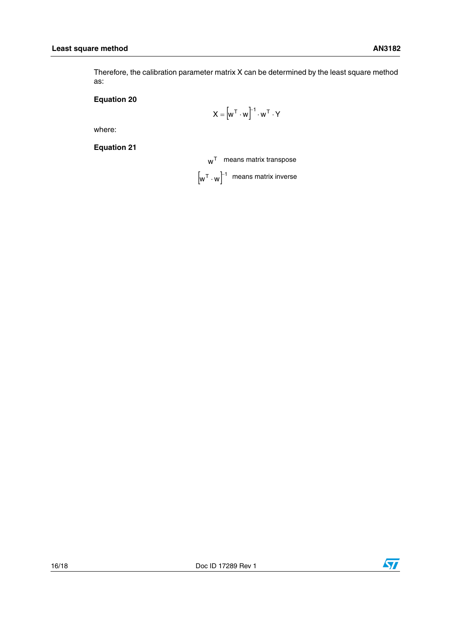Therefore, the calibration parameter matrix X can be determined by the least square method as:

## **Equation 20**

$$
X = \left[w^T \cdot w\right]^{-1} \cdot w^T \cdot Y
$$

where:

**Equation 21**

 $\boldsymbol{\mathsf{w}}^\mathsf{T}$  – means matrix transpose

 $\left[\begin{smallmatrix} 0 & \cdots & 0 \end{smallmatrix}\right]^{-1}$  means matrix inverse

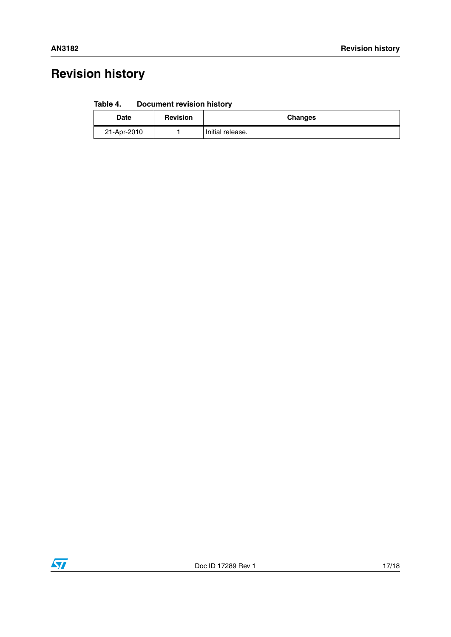# <span id="page-16-0"></span>**Revision history**

| Table 4.<br><b>Document revision history</b> |  |  |  |  |
|----------------------------------------------|--|--|--|--|
|----------------------------------------------|--|--|--|--|

| <b>Date</b> | <b>Revision</b> | <b>Changes</b>   |
|-------------|-----------------|------------------|
| 21-Apr-2010 |                 | Initial release. |